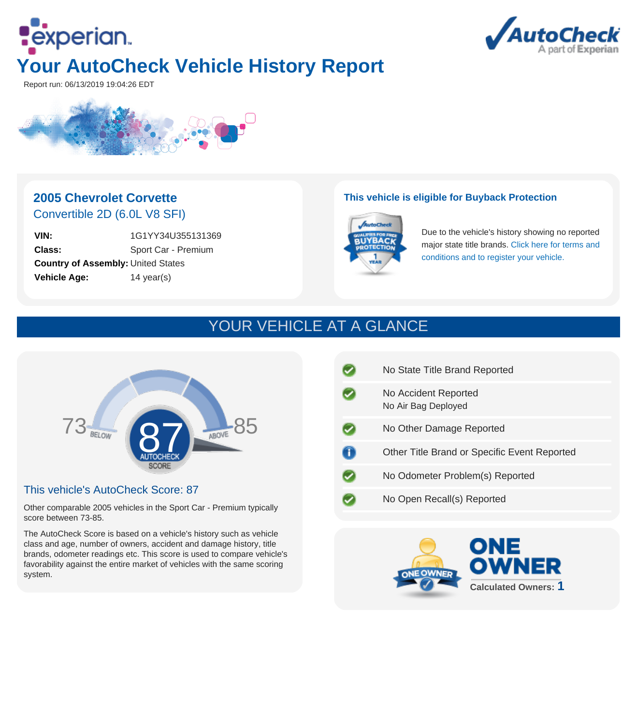



Report run: 06/13/2019 19:04:26 EDT



## **2005 Chevrolet Corvette** Convertible 2D (6.0L V8 SFI)

**VIN:** 1G1YY34U355131369 **Class:** Sport Car - Premium **Country of Assembly:** United States **Vehicle Age:** 14 year(s)

### **This vehicle is eligible for Buyback Protection**



Due to the vehicle's history showing no reported major state title brands. [Click here for terms and](http://www.autocheck.com/vehiclehistory/autocheck/en/buyback-protection) [conditions and to register your vehicle.](http://www.autocheck.com/vehiclehistory/autocheck/en/buyback-protection)

# YOUR VEHICLE AT A GLANCE



### This vehicle's AutoCheck Score: 87

Other comparable 2005 vehicles in the Sport Car - Premium typically score between 73-85.

The AutoCheck Score is based on a vehicle's history such as vehicle class and age, number of owners, accident and damage history, title brands, odometer readings etc. This score is used to compare vehicle's favorability against the entire market of vehicles with the same scoring system.

| No State Title Brand Reported                |
|----------------------------------------------|
| No Accident Reported<br>No Air Bag Deployed  |
| No Other Damage Reported                     |
| Other Title Brand or Specific Event Reported |
| No Odometer Problem(s) Reported              |
| No Open Recall(s) Reported                   |
|                                              |

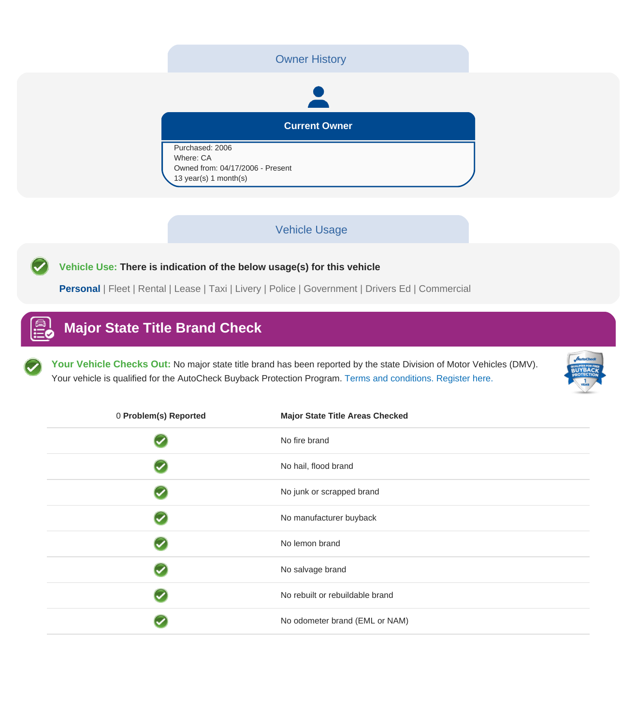### Owner History



**Current Owner**

Purchased: 2006 Where: CA Owned from: 04/17/2006 - Present 13 year(s) 1 month(s)

### Vehicle Usage

**Vehicle Use: There is indication of the below usage(s) for this vehicle**

**Personal** | Fleet | Rental | Lease | Taxi | Livery | Police | Government | Drivers Ed | Commercial

# **Major State Title Brand Check**

**Your Vehicle Checks Out:** No major state title brand has been reported by the state Division of Motor Vehicles (DMV). Your vehicle is qualified for the AutoCheck Buyback Protection Program. [Terms and conditions. Register here.](http://www.autocheck.com/vehiclehistory/autocheck/en/buyback-protection)



| 0 Problem(s) Reported | <b>Major State Title Areas Checked</b> |
|-----------------------|----------------------------------------|
|                       | No fire brand                          |
|                       | No hail, flood brand                   |
|                       | No junk or scrapped brand              |
|                       | No manufacturer buyback                |
|                       | No lemon brand                         |
|                       | No salvage brand                       |
|                       | No rebuilt or rebuildable brand        |
|                       | No odometer brand (EML or NAM)         |
|                       |                                        |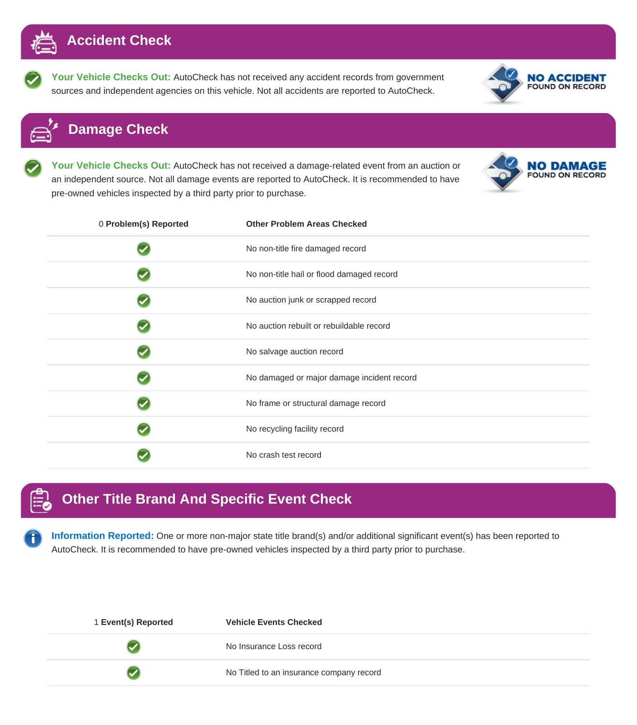

**Your Vehicle Checks Out:** AutoCheck has not received any accident records from government sources and independent agencies on this vehicle. Not all accidents are reported to AutoCheck.



## **Damage Check**

**Your Vehicle Checks Out:** AutoCheck has not received a damage-related event from an auction or an independent source. Not all damage events are reported to AutoCheck. It is recommended to have pre-owned vehicles inspected by a third party prior to purchase.

|  | <b>NO DAMAGE</b><br><b>FOUND ON RECORD</b> |
|--|--------------------------------------------|
|--|--------------------------------------------|

| 0 Problem(s) Reported | <b>Other Problem Areas Checked</b>         |
|-----------------------|--------------------------------------------|
|                       | No non-title fire damaged record           |
|                       | No non-title hail or flood damaged record  |
|                       | No auction junk or scrapped record         |
|                       | No auction rebuilt or rebuildable record   |
|                       | No salvage auction record                  |
|                       | No damaged or major damage incident record |
|                       | No frame or structural damage record       |
|                       | No recycling facility record               |
|                       | No crash test record                       |

## **Other Title Brand And Specific Event Check**

**Information Reported:** One or more non-major state title brand(s) and/or additional significant event(s) has been reported to AutoCheck. It is recommended to have pre-owned vehicles inspected by a third party prior to purchase.

| 1 Event(s) Reported | <b>Vehicle Events Checked</b>            |
|---------------------|------------------------------------------|
|                     | No Insurance Loss record                 |
|                     | No Titled to an insurance company record |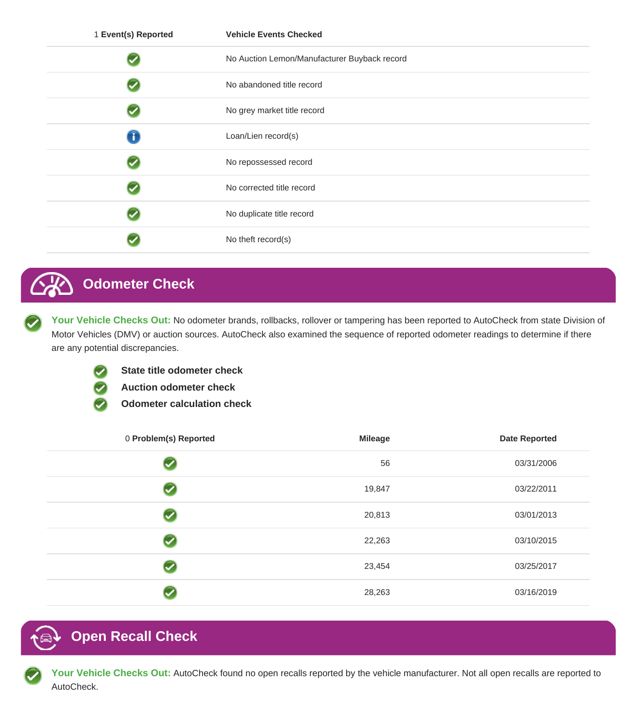| 1 Event(s) Reported | <b>Vehicle Events Checked</b>                |
|---------------------|----------------------------------------------|
|                     | No Auction Lemon/Manufacturer Buyback record |
|                     | No abandoned title record                    |
|                     | No grey market title record                  |
| Т                   | Loan/Lien record(s)                          |
|                     | No repossessed record                        |
|                     | No corrected title record                    |
|                     | No duplicate title record                    |
|                     | No theft record(s)                           |

# **Odometer Check**

Your Vehicle Checks Out: No odometer brands, rollbacks, rollover or tampering has been reported to AutoCheck from state Division of Motor Vehicles (DMV) or auction sources. AutoCheck also examined the sequence of reported odometer readings to determine if there are any potential discrepancies.



- **State title odometer check**
- **Auction odometer check**
- **Odometer calculation check**

| 0 Problem(s) Reported | <b>Mileage</b> | <b>Date Reported</b> |
|-----------------------|----------------|----------------------|
| ✓                     | 56             | 03/31/2006           |
| ✓                     | 19,847         | 03/22/2011           |
| ✓                     | 20,813         | 03/01/2013           |
| ✓                     | 22,263         | 03/10/2015           |
| ✓                     | 23,454         | 03/25/2017           |
|                       | 28,263         | 03/16/2019           |

# **Open Recall Check**

**Your Vehicle Checks Out:** AutoCheck found no open recalls reported by the vehicle manufacturer. Not all open recalls are reported to AutoCheck.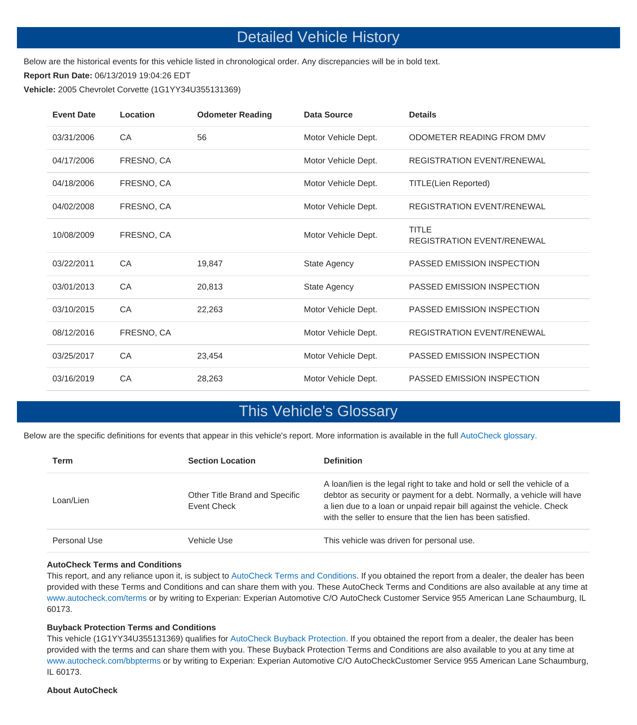## Detailed Vehicle History

Below are the historical events for this vehicle listed in chronological order. Any discrepancies will be in bold text.

**Report Run Date:** 06/13/2019 19:04:26 EDT

**Vehicle:** 2005 Chevrolet Corvette (1G1YY34U355131369)

| <b>Event Date</b> | Location   | <b>Odometer Reading</b> | Data Source         | <b>Details</b>                                    |
|-------------------|------------|-------------------------|---------------------|---------------------------------------------------|
| 03/31/2006        | CA         | 56                      | Motor Vehicle Dept. | ODOMETER READING FROM DMV                         |
| 04/17/2006        | FRESNO, CA |                         | Motor Vehicle Dept. | <b>REGISTRATION EVENT/RENEWAL</b>                 |
| 04/18/2006        | FRESNO, CA |                         | Motor Vehicle Dept. | <b>TITLE(Lien Reported)</b>                       |
| 04/02/2008        | FRESNO, CA |                         | Motor Vehicle Dept. | <b>REGISTRATION EVENT/RENEWAL</b>                 |
| 10/08/2009        | FRESNO, CA |                         | Motor Vehicle Dept. | <b>TITLE</b><br><b>REGISTRATION EVENT/RENEWAL</b> |
| 03/22/2011        | CA         | 19.847                  | State Agency        | PASSED EMISSION INSPECTION                        |
| 03/01/2013        | CA         | 20,813                  | State Agency        | PASSED EMISSION INSPECTION                        |
| 03/10/2015        | CA         | 22,263                  | Motor Vehicle Dept. | PASSED EMISSION INSPECTION                        |
| 08/12/2016        | FRESNO, CA |                         | Motor Vehicle Dept. | <b>REGISTRATION EVENT/RENEWAL</b>                 |
| 03/25/2017        | CA         | 23,454                  | Motor Vehicle Dept. | PASSED EMISSION INSPECTION                        |
| 03/16/2019        | CA         | 28,263                  | Motor Vehicle Dept. | PASSED EMISSION INSPECTION                        |

## This Vehicle's Glossary

Below are the specific definitions for events that appear in this vehicle's report. More information is available in the full [AutoCheck glossary.](https://www.autocheck.com/vehiclehistory/autocheck/en/glossary)

| Term         | <b>Section Location</b>                       | <b>Definition</b>                                                                                                                                                                                                                                                                           |
|--------------|-----------------------------------------------|---------------------------------------------------------------------------------------------------------------------------------------------------------------------------------------------------------------------------------------------------------------------------------------------|
| Loan/Lien    | Other Title Brand and Specific<br>Event Check | A loan/lien is the legal right to take and hold or sell the vehicle of a<br>debtor as security or payment for a debt. Normally, a vehicle will have<br>a lien due to a loan or unpaid repair bill against the vehicle. Check<br>with the seller to ensure that the lien has been satisfied. |
| Personal Use | Vehicle Use                                   | This vehicle was driven for personal use.                                                                                                                                                                                                                                                   |

#### **AutoCheck Terms and Conditions**

This report, and any reliance upon it, is subject to [AutoCheck Terms and Conditions.](https://www.autocheck.com/members/terms.do) If you obtained the report from a dealer, the dealer has been provided with these Terms and Conditions and can share them with you. These AutoCheck Terms and Conditions are also available at any time at [www.autocheck.com/terms](https://www.autocheck.com/members/terms.do) or by writing to Experian: Experian Automotive C/O AutoCheck Customer Service 955 American Lane Schaumburg, IL 60173.

#### **Buyback Protection Terms and Conditions**

This vehicle (1G1YY34U355131369) qualifies for [AutoCheck Buyback Protection.](https://www.autocheck.com/bbpterms) If you obtained the report from a dealer, the dealer has been provided with the terms and can share them with you. These Buyback Protection Terms and Conditions are also available to you at any time at [www.autocheck.com/bbpterms](https://www.autocheck.com/bbpterms) or by writing to Experian: Experian Automotive C/O AutoCheckCustomer Service 955 American Lane Schaumburg, IL 60173.

#### **About AutoCheck**